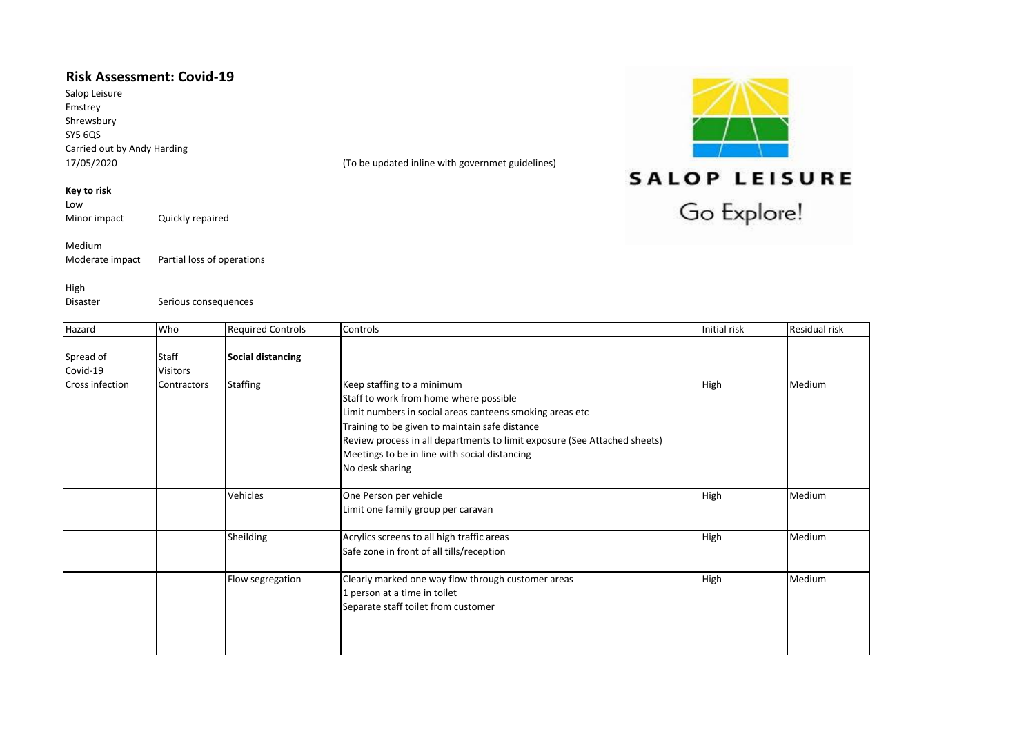## **Risk Assessment: Covid-19**

Salop Leisure Emstrey Shrewsbury SY5 6QS Carried out by Andy Harding<br>17/05/2020

(To be updated inline with governmet guidelines)

## **Key to risk**

Low<br>Minor impact Quickly repaired

Medium<br>Moderate impact Partial loss of operations

High

Disaster Serious consequences

| <b>SALOP LEISURE</b> |
|----------------------|
|                      |
| Go Explore!          |

 $\sim$   $\sim$ 

| Hazard                 | Who             | <b>Required Controls</b> | Controls                                                                  | Initial risk | Residual risk |
|------------------------|-----------------|--------------------------|---------------------------------------------------------------------------|--------------|---------------|
|                        |                 |                          |                                                                           |              |               |
| Spread of              | Staff           | Social distancing        |                                                                           |              |               |
| Covid-19               | <b>Visitors</b> |                          |                                                                           |              |               |
| <b>Cross infection</b> | Contractors     | <b>Staffing</b>          | Keep staffing to a minimum                                                | High         | Medium        |
|                        |                 |                          | Staff to work from home where possible                                    |              |               |
|                        |                 |                          | Limit numbers in social areas canteens smoking areas etc                  |              |               |
|                        |                 |                          | Training to be given to maintain safe distance                            |              |               |
|                        |                 |                          | Review process in all departments to limit exposure (See Attached sheets) |              |               |
|                        |                 |                          | Meetings to be in line with social distancing                             |              |               |
|                        |                 |                          | No desk sharing                                                           |              |               |
|                        |                 |                          |                                                                           |              |               |
|                        |                 | Vehicles                 | One Person per vehicle                                                    | High         | Medium        |
|                        |                 |                          | Limit one family group per caravan                                        |              |               |
|                        |                 |                          |                                                                           |              |               |
|                        |                 | Sheilding                | Acrylics screens to all high traffic areas                                | High         | Medium        |
|                        |                 |                          | Safe zone in front of all tills/reception                                 |              |               |
|                        |                 |                          |                                                                           |              |               |
|                        |                 | Flow segregation         | Clearly marked one way flow through customer areas                        | High         | Medium        |
|                        |                 |                          | 1 person at a time in toilet                                              |              |               |
|                        |                 |                          | Separate staff toilet from customer                                       |              |               |
|                        |                 |                          |                                                                           |              |               |
|                        |                 |                          |                                                                           |              |               |
|                        |                 |                          |                                                                           |              |               |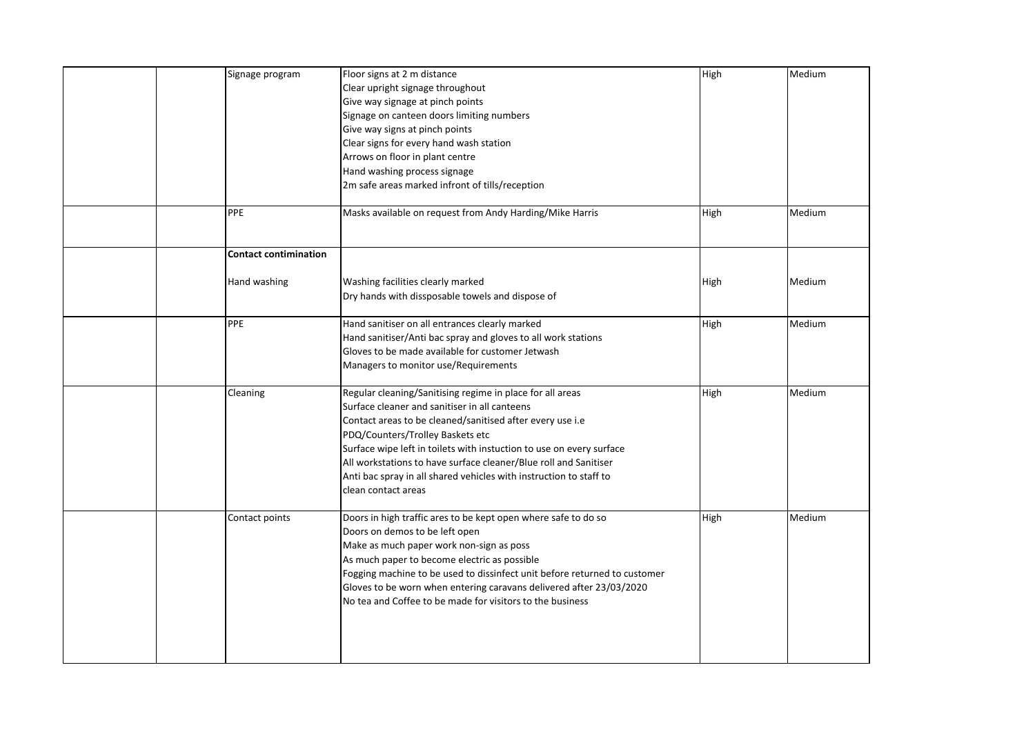| Signage program<br>PPE       | Floor signs at 2 m distance<br>Clear upright signage throughout<br>Give way signage at pinch points<br>Signage on canteen doors limiting numbers<br>Give way signs at pinch points<br>Clear signs for every hand wash station<br>Arrows on floor in plant centre<br>Hand washing process signage<br>2m safe areas marked infront of tills/reception<br>Masks available on request from Andy Harding/Mike Harris                                      | High<br>High | Medium<br>Medium |
|------------------------------|------------------------------------------------------------------------------------------------------------------------------------------------------------------------------------------------------------------------------------------------------------------------------------------------------------------------------------------------------------------------------------------------------------------------------------------------------|--------------|------------------|
| <b>Contact contimination</b> |                                                                                                                                                                                                                                                                                                                                                                                                                                                      |              |                  |
| Hand washing                 | Washing facilities clearly marked<br>Dry hands with dissposable towels and dispose of                                                                                                                                                                                                                                                                                                                                                                | High         | Medium           |
| PPE                          | Hand sanitiser on all entrances clearly marked<br>Hand sanitiser/Anti bac spray and gloves to all work stations<br>Gloves to be made available for customer Jetwash<br>Managers to monitor use/Requirements                                                                                                                                                                                                                                          | High         | Medium           |
| Cleaning                     | Regular cleaning/Sanitising regime in place for all areas<br>Surface cleaner and sanitiser in all canteens<br>Contact areas to be cleaned/sanitised after every use i.e<br>PDQ/Counters/Trolley Baskets etc<br>Surface wipe left in toilets with instuction to use on every surface<br>All workstations to have surface cleaner/Blue roll and Sanitiser<br>Anti bac spray in all shared vehicles with instruction to staff to<br>clean contact areas | High         | Medium           |
| Contact points               | Doors in high traffic ares to be kept open where safe to do so<br>Doors on demos to be left open<br>Make as much paper work non-sign as poss<br>As much paper to become electric as possible<br>Fogging machine to be used to dissinfect unit before returned to customer<br>Gloves to be worn when entering caravans delivered after 23/03/2020<br>No tea and Coffee to be made for visitors to the business                                        | High         | Medium           |